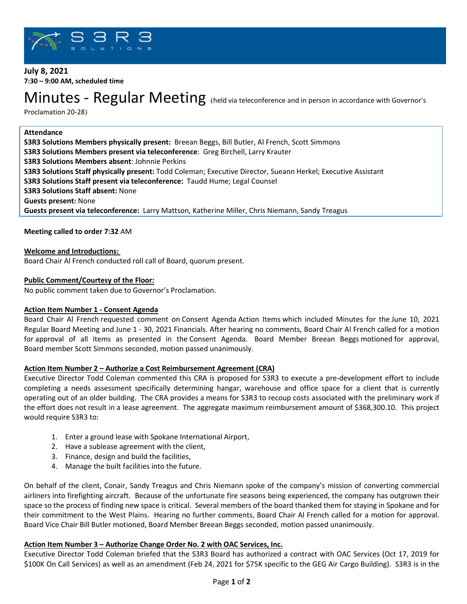

# **July 8, 2021 7:30 – 9:00 AM, scheduled time**

# Minutes - Regular Meeting (held via teleconference and in person in accordance with Governor's

Proclamation 20-28)

#### **Attendance**

**S3R3 Solutions Members physically present:** Breean Beggs, Bill Butler, Al French, Scott Simmons **S3R3 Solutions Members present via teleconference**: Greg Birchell, Larry Krauter **S3R3 Solutions Members absent**: Johnnie Perkins **S3R3 Solutions Staff physically present:** Todd Coleman; Executive Director, Sueann Herkel; Executive Assistant **S3R3 Solutions Staff present via teleconference:** Taudd Hume; Legal Counsel **S3R3 Solutions Staff absent:** None **Guests present:** None **Guests present via teleconference:** Larry Mattson, Katherine Miller, Chris Niemann, Sandy Treagus

#### **Meeting called to order 7:32** AM

**Welcome and Introductions:**

Board Chair Al French conducted roll call of Board, quorum present.

#### **Public Comment/Courtesy of the Floor:**

No public comment taken due to Governor's Proclamation.

#### **Action Item Number 1 - Consent Agenda**

Board Chair Al French requested comment on Consent Agenda Action Items which included Minutes for the June 10, 2021 Regular Board Meeting and June 1 - 30, 2021 Financials. After hearing no comments, Board Chair Al French called for a motion for approval of all items as presented in the Consent Agenda. Board Member Breean Beggs motioned for approval, Board member Scott Simmons seconded, motion passed unanimously.

#### **Action Item Number 2 – Authorize a Cost Reimbursement Agreement (CRA)**

Executive Director Todd Coleman commented this CRA is proposed for S3R3 to execute a pre-development effort to include completing a needs assessment specifically determining hangar, warehouse and office space for a client that is currently operating out of an older building. The CRA provides a means for S3R3 to recoup costs associated with the preliminary work if the effort does not result in a lease agreement. The aggregate maximum reimbursement amount of \$368,300.10. This project would require S3R3 to:

- 1. Enter a ground lease with Spokane International Airport,
- 2. Have a sublease agreement with the client,
- 3. Finance, design and build the facilities,
- 4. Manage the built facilities into the future.

On behalf of the client, Conair, Sandy Treagus and Chris Niemann spoke of the company's mission of converting commercial airliners into firefighting aircraft. Because of the unfortunate fire seasons being experienced, the company has outgrown their space so the process of finding new space is critical. Several members of the board thanked them for staying in Spokane and for their commitment to the West Plains. Hearing no further comments, Board Chair Al French called for a motion for approval. Board Vice Chair Bill Butler motioned, Board Member Breean Beggs seconded, motion passed unanimously.

#### **Action Item Number 3 – Authorize Change Order No. 2 with OAC Services, Inc.**

Executive Director Todd Coleman briefed that the S3R3 Board has authorized a contract with OAC Services (Oct 17, 2019 for \$100K On Call Services) as well as an amendment (Feb 24, 2021 for \$75K specific to the GEG Air Cargo Building). S3R3 is in the